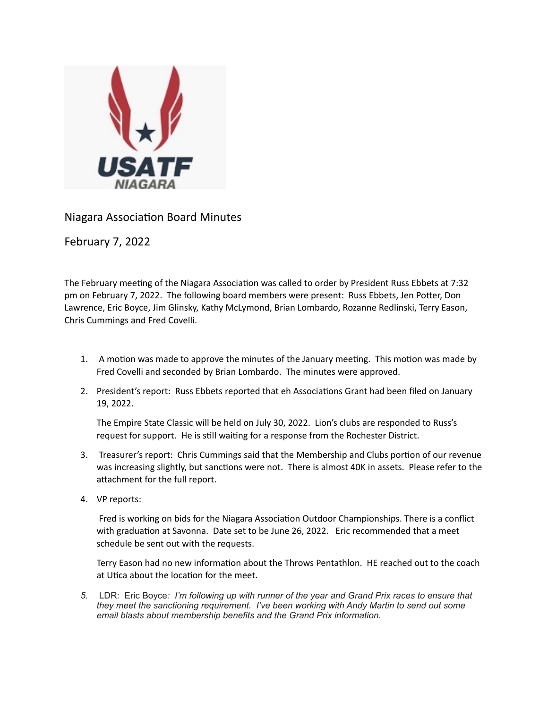

Niagara Association Board Minutes

February 7, 2022

The February meeting of the Niagara Association was called to order by President Russ Ebbets at 7:32 pm on February 7, 2022. The following board members were present: Russ Ebbets, Jen Potter, Don Lawrence, Eric Boyce, Jim Glinsky, Kathy McLymond, Brian Lombardo, Rozanne Redlinski, Terry Eason, Chris Cummings and Fred Covelli.

- 1. A motion was made to approve the minutes of the January meeting. This motion was made by Fred Covelli and seconded by Brian Lombardo. The minutes were approved.
- 2. President's report: Russ Ebbets reported that eh Associations Grant had been filed on January 19, 2022.

The Empire State Classic will be held on July 30, 2022. Lion's clubs are responded to Russ's request for support. He is still waiting for a response from the Rochester District.

- 3. Treasurer's report: Chris Cummings said that the Membership and Clubs portion of our revenue was increasing slightly, but sanctions were not. There is almost 40K in assets. Please refer to the attachment for the full report.
- 4. VP reports:

Fred is working on bids for the Niagara Association Outdoor Championships. There is a conflict with graduation at Savonna. Date set to be June 26, 2022. Eric recommended that a meet schedule be sent out with the requests.

Terry Eason had no new information about the Throws Pentathlon. HE reached out to the coach at Utica about the location for the meet.

*5.* LDR: Eric Boyce*: I'm following up with runner of the year and Grand Prix races to ensure that they meet the sanctioning requirement. I've been working with Andy Martin to send out some email blasts about membership benefits and the Grand Prix information.*